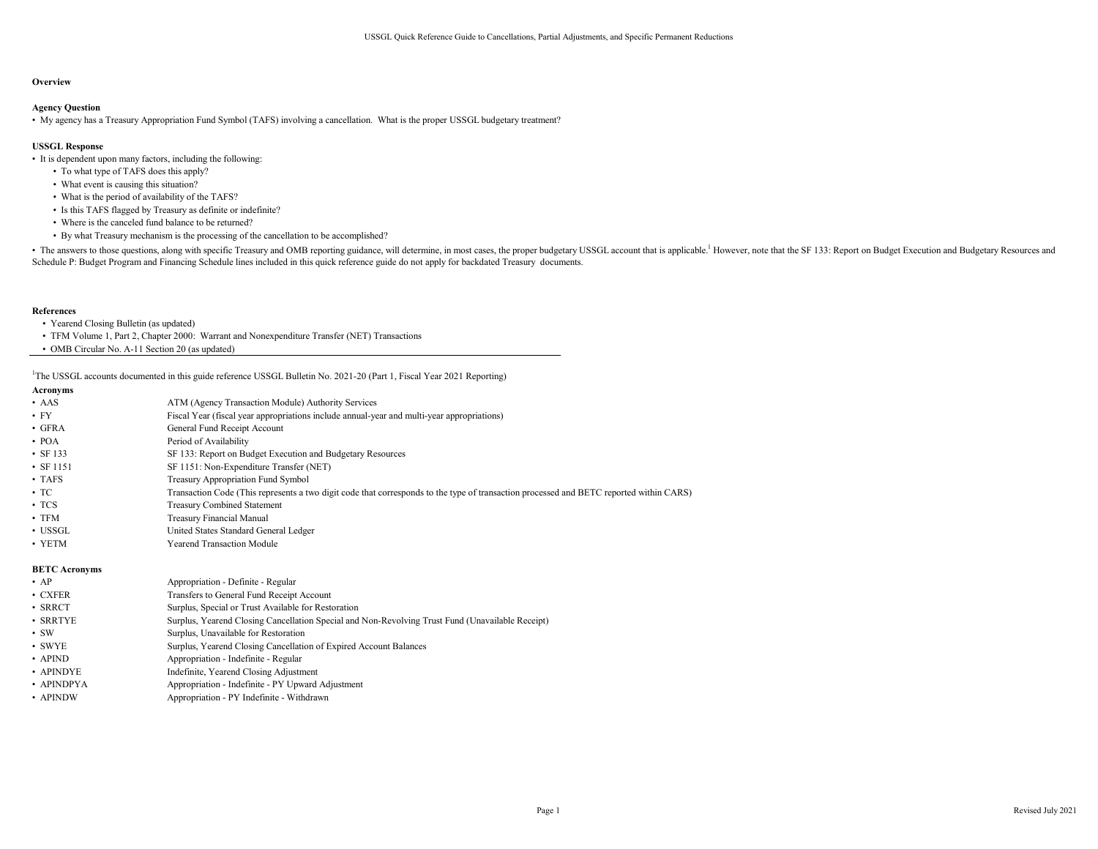### **Overview**

## Agency Question

• My agency has a Treasury Appropriation Fund Symbol (TAFS) involving a cancellation. What is the proper USSGL budgetary treatment?

## USSGL Response

• It is dependent upon many factors, including the following:

- To what type of TAFS does this apply?
- What event is causing this situation?
- What is the period of availability of the TAFS?
- Is this TAFS flagged by Treasury as definite or indefinite?
- Where is the canceled fund balance to be returned?
- By what Treasury mechanism is the processing of the cancellation to be accomplished?

• The answers to those questions, along with specific Treasury and OMB reporting guidance, will determine, in most cases, the proper budgetary USSGL account that is applicable.<sup>1</sup> However, note that the SF 133: Report on B Schedule P: Budget Program and Financing Schedule lines included in this quick reference guide do not apply for backdated Treasury documents.

#### References

- Yearend Closing Bulletin (as updated)
- TFM Volume 1, Part 2, Chapter 2000: Warrant and Nonexpenditure Transfer (NET) Transactions
- OMB Circular No. A-11 Section 20 (as updated)

<sup>1</sup>The USSGL accounts documented in this guide reference USSGL Bulletin No. 2021-20 (Part 1, Fiscal Year 2021 Reporting)

| Acronyms |  |
|----------|--|
|----------|--|

| .                        |                                                                                                                                         |
|--------------------------|-----------------------------------------------------------------------------------------------------------------------------------------|
| • AAS                    | ATM (Agency Transaction Module) Authority Services                                                                                      |
| • FY                     | Fiscal Year (fiscal year appropriations include annual-year and multi-year appropriations)                                              |
| $\bullet$ GFRA           | General Fund Receipt Account                                                                                                            |
| $\cdot$ POA              | Period of Availability                                                                                                                  |
| $\cdot$ SF 133           | SF 133: Report on Budget Execution and Budgetary Resources                                                                              |
| • SF 1151                | SF 1151: Non-Expenditure Transfer (NET)                                                                                                 |
| $\cdot$ TAFS             | <b>Treasury Appropriation Fund Symbol</b>                                                                                               |
| $\cdot$ TC               | Transaction Code (This represents a two digit code that corresponds to the type of transaction processed and BETC reported within CARS) |
| $\cdot$ TCS              | <b>Treasury Combined Statement</b>                                                                                                      |
| $\boldsymbol{\cdot}$ TFM | Treasury Financial Manual                                                                                                               |
| • USSGL                  | United States Standard General Ledger                                                                                                   |
| $\cdot$ YETM             | Yearend Transaction Module                                                                                                              |
|                          |                                                                                                                                         |

#### BETC Acronyms

| $\bullet$ AP       | Appropriation - Definite - Regular                                                               |
|--------------------|--------------------------------------------------------------------------------------------------|
| $\bullet$ CXFER    | Transfers to General Fund Receipt Account                                                        |
| $\bm{\cdot}$ SRRCT | Surplus, Special or Trust Available for Restoration                                              |
| • SRRTYE           | Surplus, Yearend Closing Cancellation Special and Non-Revolving Trust Fund (Unavailable Receipt) |
| • sw               | Surplus, Unavailable for Restoration                                                             |
| • SWYE             | Surplus, Yearend Closing Cancellation of Expired Account Balances                                |
| $\cdot$ APIND      | Appropriation - Indefinite - Regular                                                             |
| • APINDYE          | Indefinite, Yearend Closing Adjustment                                                           |
| • APINDPYA         | Appropriation - Indefinite - PY Upward Adjustment                                                |
|                    |                                                                                                  |

• APINDW Appropriation - PY Indefinite - Withdrawn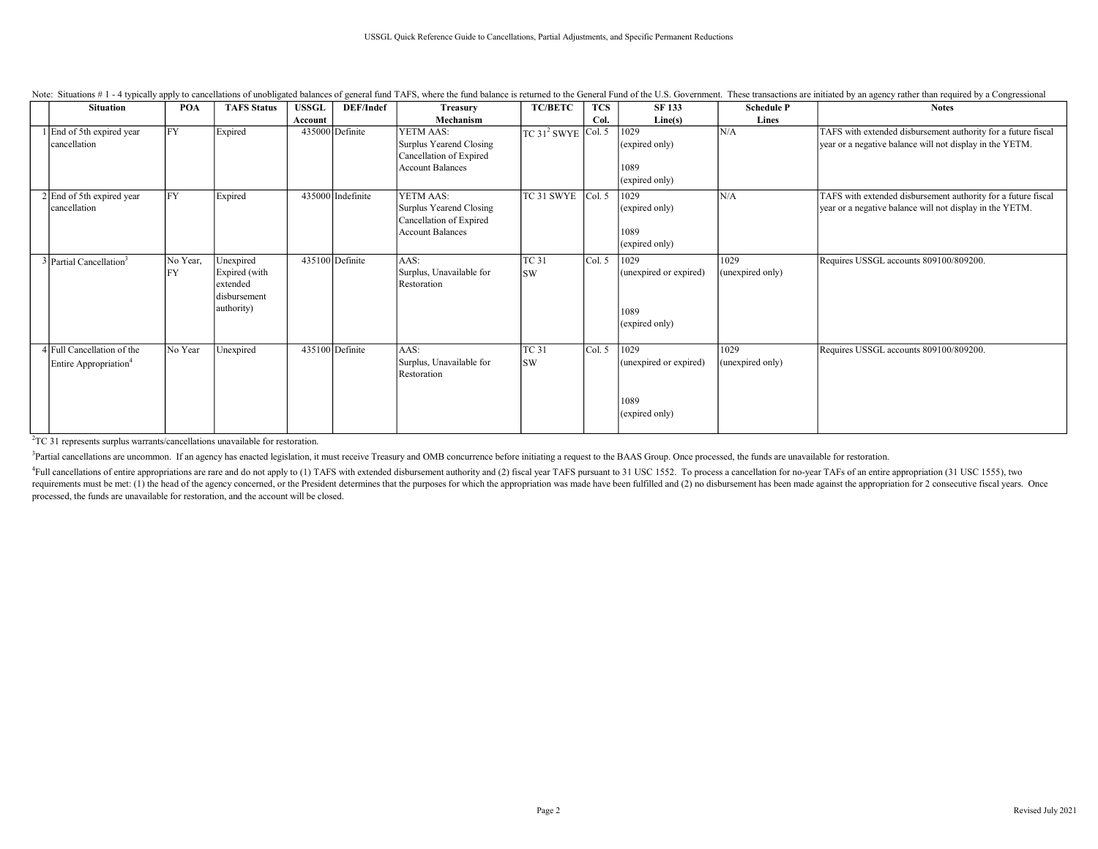| <b>Situation</b>                                                | <b>POA</b>            | <b>TAFS Status</b>                                                   | <b>USSGL</b> | DEF/Indef         | <b>Treasury</b>                                                                            | <b>TC/BETC</b>            | <b>TCS</b> | <b>SF 133</b>                                            | <b>Schedule P</b>        | <b>Notes</b>                                                                                                              |
|-----------------------------------------------------------------|-----------------------|----------------------------------------------------------------------|--------------|-------------------|--------------------------------------------------------------------------------------------|---------------------------|------------|----------------------------------------------------------|--------------------------|---------------------------------------------------------------------------------------------------------------------------|
|                                                                 |                       |                                                                      | Account      |                   | Mechanism                                                                                  |                           | Col.       | Line(s)                                                  | Lines                    |                                                                                                                           |
| 1 End of 5th expired year<br>cancellation                       | FY                    | Expired                                                              |              | 435000 Definite   | YETM AAS:<br>Surplus Yearend Closing<br>Cancellation of Expired<br><b>Account Balances</b> | $TC 312 SWYE$ Col. 5      |            | 1029<br>(expired only)<br>1089<br>(expired only)         | N/A                      | TAFS with extended disbursement authority for a future fiscal<br>year or a negative balance will not display in the YETM. |
| 2 End of 5th expired year<br>cancellation                       | FY                    | Expired                                                              |              | 435000 Indefinite | YETM AAS:<br>Surplus Yearend Closing<br>Cancellation of Expired<br><b>Account Balances</b> | $TC$ 31 SWYE $ Col. 5$    |            | 1029<br>(expired only)<br>1089<br>(expired only)         | N/A                      | TAFS with extended disbursement authority for a future fiscal<br>year or a negative balance will not display in the YETM. |
| $3$ Partial Cancellation <sup>3</sup>                           | No Year,<br><b>FY</b> | Unexpired<br>Expired (with<br>extended<br>disbursement<br>authority) |              | $435100$ Definite | AAS:<br>Surplus, Unavailable for<br>Restoration                                            | <b>TC 31</b><br><b>SW</b> | Col. 5     | 1029<br>(unexpired or expired)<br>1089<br>(expired only) | 1029<br>(unexpired only) | Requires USSGL accounts 809100/809200.                                                                                    |
| 4 Full Cancellation of the<br>Entire Appropriation <sup>4</sup> | No Year               | Unexpired                                                            |              | $435100$ Definite | AAS:<br>Surplus, Unavailable for<br>Restoration                                            | <b>TC 31</b><br><b>SW</b> | Col. 5     | 1029<br>(unexpired or expired)<br>1089<br>(expired only) | 1029<br>(unexpired only) | Requires USSGL accounts 809100/809200.                                                                                    |

Note: Situations #1-4 typically apply to cancellations of unobligated balances of general fund TAFS, where the fund balance is returned to the General Fund of the U.S. Government. These transactions are initiated by an age

<sup>2</sup>TC 31 represents surplus warrants/cancellations unavailable for restoration.

<sup>3</sup>Partial cancellations are uncommon. If an agency has enacted legislation, it must receive Treasury and OMB concurrence before initiating a request to the BAAS Group. Once processed, the funds are unavailable for restora

<sup>4</sup>Full cancellations of entire appropriations are rare and do not apply to (1) TAFS with extended disbursement authority and (2) fiscal year TAFS pursuant to 31 USC 1552. To process a cancellation for no-year TAFs of an e requirements must be met: (1) the head of the agency concerned, or the President determines that the purposes for which the appropriation was made have been fulfilled and (2) no disbursement has been made against the appro processed, the funds are unavailable for restoration, and the account will be closed.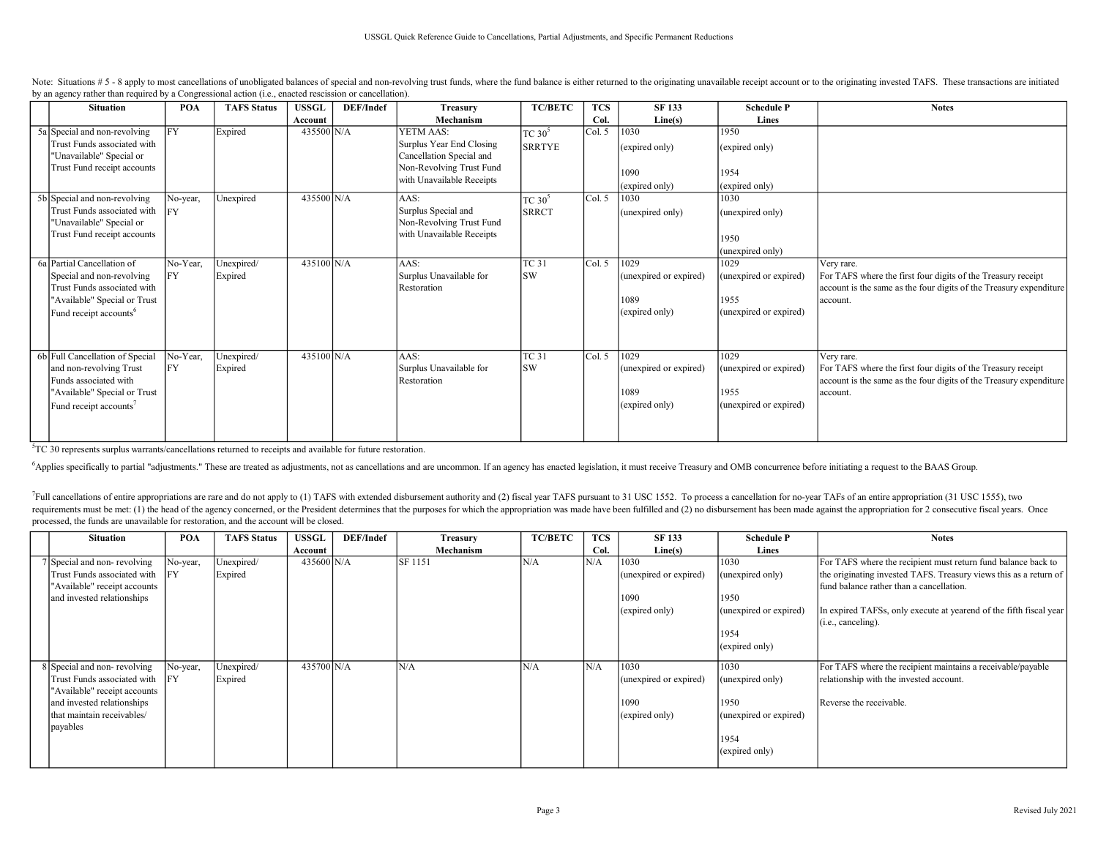| <b>Situation</b>                                                                                                                                             | POA                    | <b>TAFS Status</b>    | <b>USSGL</b> | DEF/Indef | <b>Treasury</b>                                                                                                            | <b>TC/BETC</b>             | <b>TCS</b> | <b>SF133</b>                                             | <b>Schedule P</b>                                                | <b>Notes</b>                                                                                                                                                 |
|--------------------------------------------------------------------------------------------------------------------------------------------------------------|------------------------|-----------------------|--------------|-----------|----------------------------------------------------------------------------------------------------------------------------|----------------------------|------------|----------------------------------------------------------|------------------------------------------------------------------|--------------------------------------------------------------------------------------------------------------------------------------------------------------|
|                                                                                                                                                              |                        |                       | Account      |           | Mechanism                                                                                                                  |                            | Col.       | Line(s)                                                  | Lines                                                            |                                                                                                                                                              |
| 5a Special and non-revolving<br>Trust Funds associated with<br>"Unavailable" Special or<br>Trust Fund receipt accounts                                       | FY                     | Expired               | 435500 N/A   |           | YETM AAS:<br>Surplus Year End Closing<br>Cancellation Special and<br>Non-Revolving Trust Fund<br>with Unavailable Receipts | TC $30^5$<br><b>SRRTYE</b> | Col. 5     | 1030<br>(expired only)<br>1090<br>(expired only)         | 1950<br>(expired only)<br>1954<br>(expired only)                 |                                                                                                                                                              |
| 5b Special and non-revolving<br>Trust Funds associated with<br>"Unavailable" Special or<br>Trust Fund receipt accounts                                       | No-year,<br><b>IFY</b> | Unexpired             | 435500 N/A   |           | AAS:<br>Surplus Special and<br>Non-Revolving Trust Fund<br>with Unavailable Receipts                                       | $TC 30^5$<br><b>SRRCT</b>  | Col. 5     | 1030<br>(unexpired only)                                 | 1030<br>(unexpired only)<br>1950<br>(unexpired only)             |                                                                                                                                                              |
| 6a Partial Cancellation of<br>Special and non-revolving<br>Trust Funds associated with<br>"Available" Special or Trust<br>Fund receipt accounts <sup>6</sup> | No-Year,<br><b>FY</b>  | Unexpired/<br>Expired | 435100 N/A   |           | AAS:<br>Surplus Unavailable for<br>Restoration                                                                             | <b>TC 31</b><br>lsw        | Col. 5     | 1029<br>(unexpired or expired)<br>1089<br>(expired only) | 1029<br>(unexpired or expired)<br>1955<br>(unexpired or expired) | Very rare.<br>For TAFS where the first four digits of the Treasury receipt<br>account is the same as the four digits of the Treasury expenditure<br>account. |
| 6b Full Cancellation of Special<br>and non-revolving Trust<br>Funds associated with<br>"Available" Special or Trust<br>Fund receipt accounts <sup>7</sup>    | No-Year,<br>FY         | Unexpired/<br>Expired | 435100 N/A   |           | AAS:<br>Surplus Unavailable for<br>Restoration                                                                             | <b>TC 31</b><br><b>SW</b>  | Col. 5     | 1029<br>(unexpired or expired)<br>1089<br>(expired only) | 1029<br>(unexpired or expired)<br>1955<br>(unexpired or expired) | Very rare.<br>For TAFS where the first four digits of the Treasury receipt<br>account is the same as the four digits of the Treasury expenditure<br>account. |

Note: Situations # 5 - 8 apply to most cancellations of unobligated balances of special and non-revolving trust funds, where the fund balance is either returned to the originating unavailable receipt account or to the orig by an agency rather than required by a Congressional action (i.e., enacted rescission or cancellation).

<sup>5</sup>TC 30 represents surplus warrants/cancellations returned to receipts and available for future restoration.

<sup>6</sup>Applies specifically to partial "adjustments." These are treated as adjustments, not as cancellations and are uncommon. If an agency has enacted legislation, it must receive Treasury and OMB concurrence before initiatin

<sup>7</sup>Full cancellations of entire appropriations are rare and do not apply to (1) TAFS with extended disbursement authority and (2) fiscal year TAFS pursuant to 31 USC 1552. To process a cancellation for no-year TAFs of an e requirements must be met: (1) the head of the agency concerned, or the President determines that the purposes for which the appropriation was made have been fulfilled and (2) no disbursement has been made against the appro processed, the funds are unavailable for restoration, and the account will be closed.

| <b>Situation</b>                | POA      | <b>TAFS Status</b> | USSGL                | DEF/Indef | <b>Treasury</b> | <b>TC/BETC</b> | <b>TCS</b> | <b>SF 133</b>          | <b>Schedule P</b>      | <b>Notes</b>                                                       |
|---------------------------------|----------|--------------------|----------------------|-----------|-----------------|----------------|------------|------------------------|------------------------|--------------------------------------------------------------------|
|                                 |          |                    | Account              |           | Mechanism       |                | Col.       | Line(s)                | Lines                  |                                                                    |
| 7 Special and non-revolving     | No-year, | Unexpired/         | $435600 \text{ N/A}$ |           | SF 1151         | N/A            | N/A        | 1030                   | 1030                   | For TAFS where the recipient must return fund balance back to      |
| Trust Funds associated with IFY |          | Expired            |                      |           |                 |                |            | (unexpired or expired) | (unexpired only)       | the originating invested TAFS. Treasury views this as a return of  |
| "Available" receipt accounts    |          |                    |                      |           |                 |                |            |                        |                        | fund balance rather than a cancellation.                           |
| and invested relationships      |          |                    |                      |           |                 |                |            | 1090                   | 1950                   |                                                                    |
|                                 |          |                    |                      |           |                 |                |            | $(cx$ pired only $)$   | (unexpired or expired) | In expired TAFSs, only execute at yearend of the fifth fiscal year |
|                                 |          |                    |                      |           |                 |                |            |                        |                        | (i.e., canceling).                                                 |
|                                 |          |                    |                      |           |                 |                |            |                        | 1954                   |                                                                    |
|                                 |          |                    |                      |           |                 |                |            |                        | (expired only)         |                                                                    |
|                                 |          |                    |                      |           |                 |                |            |                        |                        |                                                                    |
| 8 Special and non-revolving     | No-year, | Unexpired/         | 435700 N/A           |           | N/A             | N/A            | N/A        | 1030                   | 1030                   | For TAFS where the recipient maintains a receivable/payable        |
| Trust Funds associated with IFY |          | Expired            |                      |           |                 |                |            | (unexpired or expired) | (unexpired only)       | relationship with the invested account.                            |
| "Available" receipt accounts    |          |                    |                      |           |                 |                |            |                        |                        |                                                                    |
| and invested relationships      |          |                    |                      |           |                 |                |            | 1090                   | 1950                   | Reverse the receivable.                                            |
| that maintain receivables/      |          |                    |                      |           |                 |                |            | (expired only)         | (unexpired or expired) |                                                                    |
| payables                        |          |                    |                      |           |                 |                |            |                        |                        |                                                                    |
|                                 |          |                    |                      |           |                 |                |            |                        | 1954                   |                                                                    |
|                                 |          |                    |                      |           |                 |                |            |                        | (expired only)         |                                                                    |
|                                 |          |                    |                      |           |                 |                |            |                        |                        |                                                                    |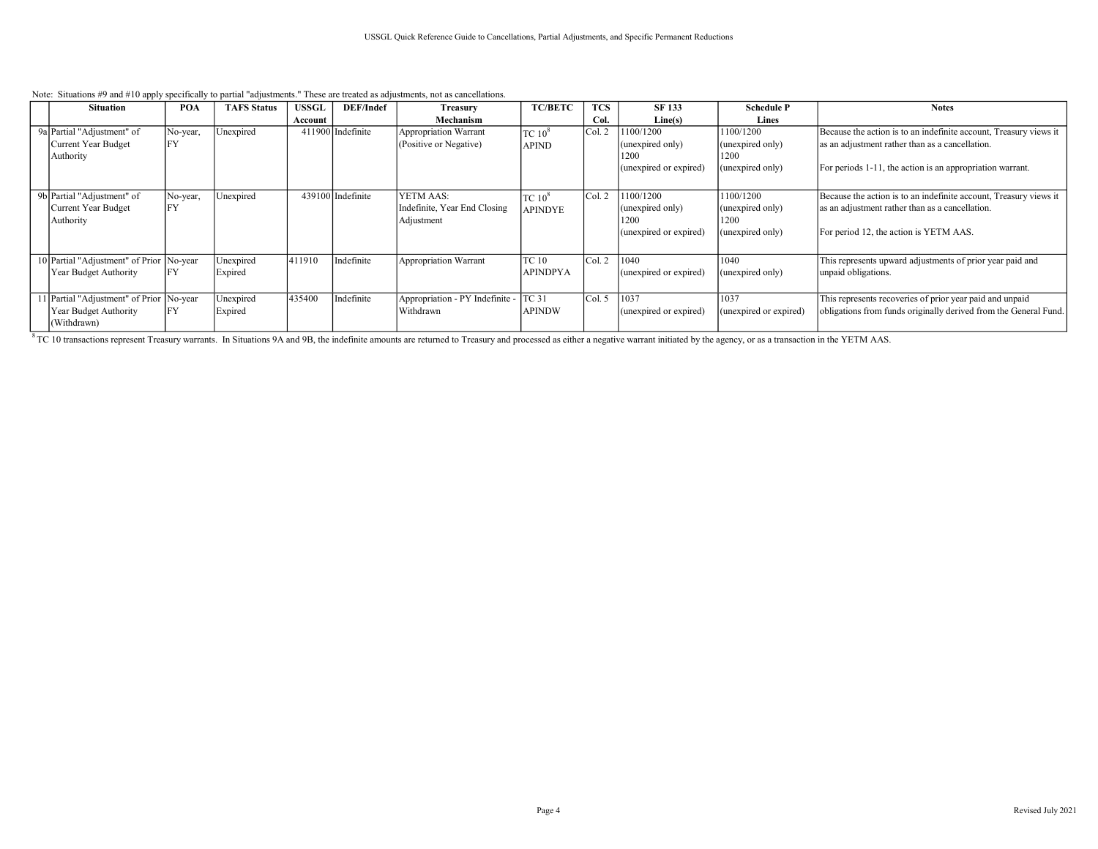| Note: Situations #9 and #10 apply specifically to partial "adjustments." These are treated as adjustments, not as cancellations. |  |
|----------------------------------------------------------------------------------------------------------------------------------|--|
|----------------------------------------------------------------------------------------------------------------------------------|--|

| <b>Situation</b>                                                  | POA            | <b>TAFS Status</b>   | <b>USSGL</b> | DEF/Indef         | Treasury                                                | <b>TC/BETC</b>                       | <b>TCS</b> | <b>SF 133</b>                                                   | <b>Schedule P</b>                                         | <b>Notes</b>                                                                                                                                                   |
|-------------------------------------------------------------------|----------------|----------------------|--------------|-------------------|---------------------------------------------------------|--------------------------------------|------------|-----------------------------------------------------------------|-----------------------------------------------------------|----------------------------------------------------------------------------------------------------------------------------------------------------------------|
|                                                                   |                |                      | Account      |                   | Mechanism                                               |                                      | Col.       | Line(s)                                                         | Lines                                                     |                                                                                                                                                                |
| 9a Partial "Adjustment" of                                        | No-year,       | Unexpired            |              | 411900 Indefinite | Appropriation Warrant                                   | TC 10 <sup>8</sup>                   | Col. 2     | 1100/1200                                                       | 1100/1200                                                 | Because the action is to an indefinite account, Treasury views it                                                                                              |
| Current Year Budget                                               | FY             |                      |              |                   | (Positive or Negative)                                  | <b>APIND</b>                         |            | (unexpired only)                                                | (unexpired only)                                          | as an adjustment rather than as a cancellation.                                                                                                                |
| Authority                                                         |                |                      |              |                   |                                                         |                                      |            | 1200                                                            | 1200                                                      |                                                                                                                                                                |
|                                                                   |                |                      |              |                   |                                                         |                                      |            | (unexpired or expired)                                          | (unexpired only)                                          | For periods 1-11, the action is an appropriation warrant.                                                                                                      |
|                                                                   |                |                      |              |                   |                                                         |                                      |            |                                                                 |                                                           |                                                                                                                                                                |
| 9b Partial "Adjustment" of<br>Current Year Budget<br>Authority    | No-year,<br>FY | Unexpired            |              | 439100 Indefinite | YETM AAS:<br>Indefinite, Year End Closing<br>Adjustment | TC 10 <sup>8</sup><br><b>APINDYE</b> | Col. 2     | 1100/1200<br>(unexpired only)<br>1200<br>(unexpired or expired) | 1100/1200<br>(unexpired only)<br>1200<br>(unexpired only) | Because the action is to an indefinite account, Treasury views it<br>as an adjustment rather than as a cancellation.<br>For period 12, the action is YETM AAS. |
|                                                                   |                |                      |              |                   |                                                         |                                      |            |                                                                 |                                                           |                                                                                                                                                                |
| 10 Partial "Adjustment" of Prior No-year<br>Year Budget Authority | <b>IFY</b>     | Unexpired<br>Expired | 411910       | Indefinite        | Appropriation Warrant                                   | TC 10<br><b>APINDPYA</b>             | Col. 2     | 1040<br>(unexpired or expired)                                  | 1040<br>(unexpired only)                                  | This represents upward adjustments of prior year paid and<br>unpaid obligations.                                                                               |
| 11 Partial "Adjustment" of Prior No-year<br>Year Budget Authority | <b>IFY</b>     | Unexpired<br>Expired | 435400       | Indefinite        | Appropriation - PY Indefinite -<br>Withdrawn            | <b>TC 31</b><br><b>APINDW</b>        | Col. 5     | 1037<br>(unexpired or expired)                                  | 1037<br>(unexpired or expired)                            | This represents recoveries of prior year paid and unpaid<br>obligations from funds originally derived from the General Fund.                                   |
| (Withdrawn)                                                       |                |                      |              |                   |                                                         |                                      |            |                                                                 |                                                           |                                                                                                                                                                |

<sup>8</sup> TC 10 transactions represent Treasury warrants. In Situations 9A and 9B, the indefinite amounts are returned to Treasury and processed as either a negative warrant initiated by the agency, or as a transaction in the YE